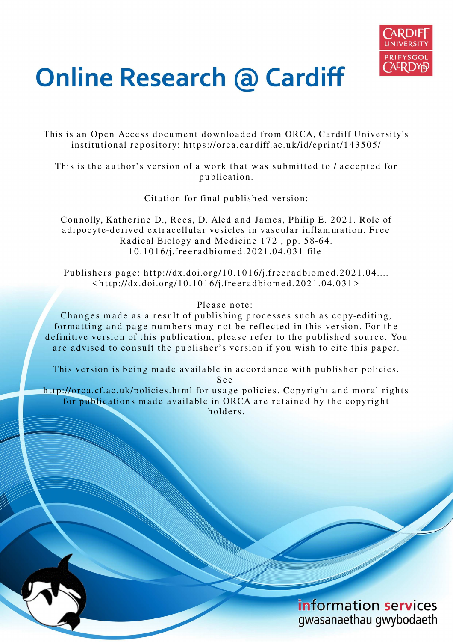

# **Online Research @ Cardiff**

This is an Open Access document downloaded from ORCA, Cardiff University's institutional repository: https://orca.cardiff.ac.uk/id/eprint/143505/

This is the author's version of a work that was submitted to / accepted for p u blication.

Citation for final published version:

Connolly, Katherine D., Rees, D. Aled and James, Philip E. 2021. Role of a dipocyte-derived extracellular vesicles in vascular inflammation. Free Radical Biology and Medicine 172, pp. 58-64. 1 0.1 0 1 6/j.fre e r a d bio m e d.2 02 1.04.03 1 file

Publishers page: http://dx.doi.org/10.1016/j.freeradbiomed.2021.04....  $\langle$  http://dx.doi.org/10.1016/j.freeradbiomed.2021.04.031>

Please note:

Changes made as a result of publishing processes such as copy-editing, formatting and page numbers may not be reflected in this version. For the definitive version of this publication, please refer to the published source. You are advised to consult the publisher's version if you wish to cite this paper.

This version is being made available in accordance with publisher policies. S e e

http://orca.cf.ac.uk/policies.html for usage policies. Copyright and moral rights for publications made available in ORCA are retained by the copyright holders

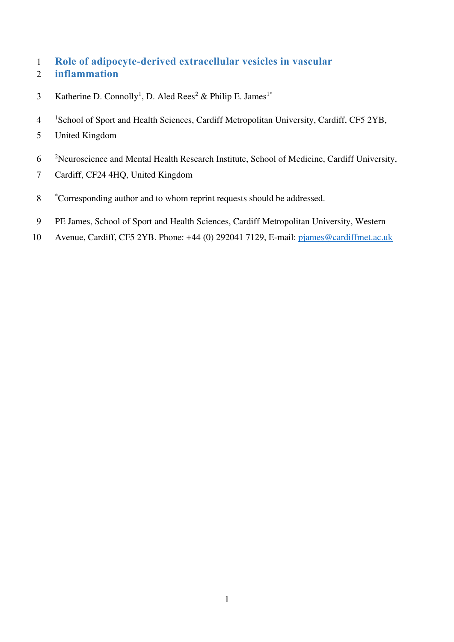# 1 **Role of adipocyte-derived extracellular vesicles in vascular**

- 2 **inflammation**
- 3 Katherine D. Connolly<sup>1</sup>, D. Aled Rees<sup>2</sup> & Philip E. James<sup>1\*</sup>
- <sup>1</sup> School of Sport and Health Sciences, Cardiff Metropolitan University, Cardiff, CF5 2YB,
- 5 United Kingdom
- <sup>2</sup> 6 Neuroscience and Mental Health Research Institute, School of Medicine, Cardiff University,
- 7 Cardiff, CF24 4HQ, United Kingdom
- \* 8 Corresponding author and to whom reprint requests should be addressed.
- 9 PE James, School of Sport and Health Sciences, Cardiff Metropolitan University, Western
- 10 Avenue, Cardiff, CF5 2YB. Phone: +44 (0) 292041 7129, E-mail: [pjames@cardiffmet.ac.uk](mailto:pjames@cardiffmet.ac.uk)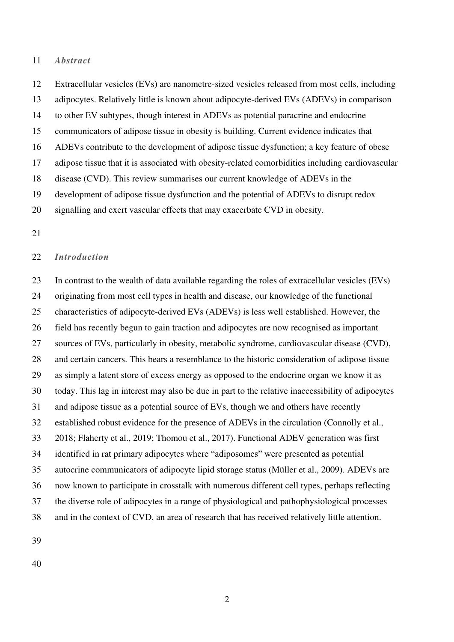## 11 *Abstract*

12 Extracellular vesicles (EVs) are nanometre-sized vesicles released from most cells, including 13 adipocytes. Relatively little is known about adipocyte-derived EVs (ADEVs) in comparison

- 14 to other EV subtypes, though interest in ADEVs as potential paracrine and endocrine
- 15 communicators of adipose tissue in obesity is building. Current evidence indicates that
- 16 ADEVs contribute to the development of adipose tissue dysfunction; a key feature of obese
- 17 adipose tissue that it is associated with obesity-related comorbidities including cardiovascular
- 18 disease (CVD). This review summarises our current knowledge of ADEVs in the
- 19 development of adipose tissue dysfunction and the potential of ADEVs to disrupt redox
- 20 signalling and exert vascular effects that may exacerbate CVD in obesity.
- 21

# 22 *Introduction*

23 In contrast to the wealth of data available regarding the roles of extracellular vesicles (EVs) 24 originating from most cell types in health and disease, our knowledge of the functional 25 characteristics of adipocyte-derived EVs (ADEVs) is less well established. However, the 26 field has recently begun to gain traction and adipocytes are now recognised as important 27 sources of EVs, particularly in obesity, metabolic syndrome, cardiovascular disease (CVD), 28 and certain cancers. This bears a resemblance to the historic consideration of adipose tissue 29 as simply a latent store of excess energy as opposed to the endocrine organ we know it as 30 today. This lag in interest may also be due in part to the relative inaccessibility of adipocytes 31 and adipose tissue as a potential source of EVs, though we and others have recently 32 established robust evidence for the presence of ADEVs in the circulation (Connolly et al., 33 2018; Flaherty et al., 2019; Thomou et al., 2017). Functional ADEV generation was first 34 identified in rat primary adipocytes where "adiposomes" were presented as potential 35 autocrine communicators of adipocyte lipid storage status (Müller et al., 2009). ADEVs are 36 now known to participate in crosstalk with numerous different cell types, perhaps reflecting 37 the diverse role of adipocytes in a range of physiological and pathophysiological processes 38 and in the context of CVD, an area of research that has received relatively little attention.

39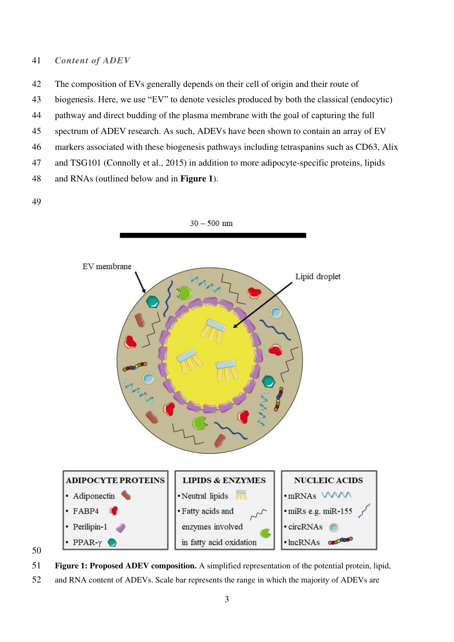#### 41 *Content of ADEV*

42 The composition of EVs generally depends on their cell of origin and their route of

43 biogenesis. Here, we use "EV" to denote vesicles produced by both the classical (endocytic)

44 pathway and direct budding of the plasma membrane with the goal of capturing the full

45 spectrum of ADEV research. As such, ADEVs have been shown to contain an array of EV

- 46 markers associated with these biogenesis pathways including tetraspanins such as CD63, Alix
- 47 and TSG101 (Connolly et al., 2015) in addition to more adipocyte-specific proteins, lipids
- 48 and RNAs (outlined below and in **Figure 1**).









52 and RNA content of ADEVs. Scale bar represents the range in which the majority of ADEVs are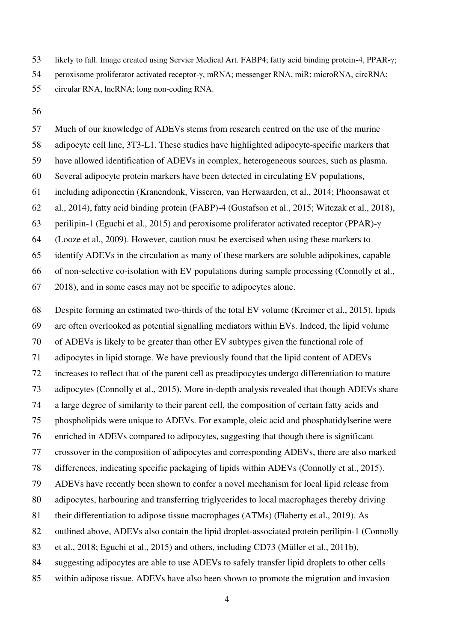53 likely to fall. Image created using Servier Medical Art. FABP4; fatty acid binding protein-4, PPAR-γ; 54 peroxisome proliferator activated receptor-γ, mRNA; messenger RNA, miR; microRNA, circRNA;

55 circular RNA, lncRNA; long non-coding RNA.

56

57 Much of our knowledge of ADEVs stems from research centred on the use of the murine 58 adipocyte cell line, 3T3-L1. These studies have highlighted adipocyte-specific markers that 59 have allowed identification of ADEVs in complex, heterogeneous sources, such as plasma. 60 Several adipocyte protein markers have been detected in circulating EV populations, 61 including adiponectin (Kranendonk, Visseren, van Herwaarden, et al., 2014; Phoonsawat et 62 al., 2014), fatty acid binding protein (FABP)-4 (Gustafson et al., 2015; Witczak et al., 2018), 63 perilipin-1 (Eguchi et al., 2015) and peroxisome proliferator activated receptor (PPAR)-γ 64 (Looze et al., 2009). However, caution must be exercised when using these markers to 65 identify ADEVs in the circulation as many of these markers are soluble adipokines, capable 66 of non-selective co-isolation with EV populations during sample processing (Connolly et al., 67 2018), and in some cases may not be specific to adipocytes alone.

68 Despite forming an estimated two-thirds of the total EV volume (Kreimer et al., 2015), lipids 69 are often overlooked as potential signalling mediators within EVs. Indeed, the lipid volume 70 of ADEVs is likely to be greater than other EV subtypes given the functional role of 71 adipocytes in lipid storage. We have previously found that the lipid content of ADEVs 72 increases to reflect that of the parent cell as preadipocytes undergo differentiation to mature 73 adipocytes (Connolly et al., 2015). More in-depth analysis revealed that though ADEVs share 74 a large degree of similarity to their parent cell, the composition of certain fatty acids and 75 phospholipids were unique to ADEVs. For example, oleic acid and phosphatidylserine were 76 enriched in ADEVs compared to adipocytes, suggesting that though there is significant 77 crossover in the composition of adipocytes and corresponding ADEVs, there are also marked 78 differences, indicating specific packaging of lipids within ADEVs (Connolly et al., 2015). 79 ADEVs have recently been shown to confer a novel mechanism for local lipid release from 80 adipocytes, harbouring and transferring triglycerides to local macrophages thereby driving 81 their differentiation to adipose tissue macrophages (ATMs) (Flaherty et al., 2019). As 82 outlined above, ADEVs also contain the lipid droplet-associated protein perilipin-1 (Connolly 83 et al., 2018; Eguchi et al., 2015) and others, including CD73 (Müller et al., 2011b), 84 suggesting adipocytes are able to use ADEVs to safely transfer lipid droplets to other cells 85 within adipose tissue. ADEVs have also been shown to promote the migration and invasion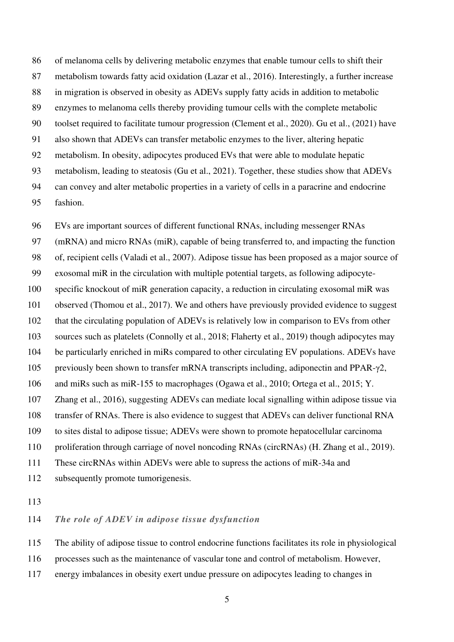86 of melanoma cells by delivering metabolic enzymes that enable tumour cells to shift their 87 metabolism towards fatty acid oxidation (Lazar et al., 2016). Interestingly, a further increase 88 in migration is observed in obesity as ADEVs supply fatty acids in addition to metabolic 89 enzymes to melanoma cells thereby providing tumour cells with the complete metabolic 90 toolset required to facilitate tumour progression (Clement et al., 2020). Gu et al., (2021) have 91 also shown that ADEVs can transfer metabolic enzymes to the liver, altering hepatic 92 metabolism. In obesity, adipocytes produced EVs that were able to modulate hepatic 93 metabolism, leading to steatosis (Gu et al., 2021). Together, these studies show that ADEVs 94 can convey and alter metabolic properties in a variety of cells in a paracrine and endocrine 95 fashion.

96 EVs are important sources of different functional RNAs, including messenger RNAs

97 (mRNA) and micro RNAs (miR), capable of being transferred to, and impacting the function 98 of, recipient cells (Valadi et al., 2007). Adipose tissue has been proposed as a major source of

99 exosomal miR in the circulation with multiple potential targets, as following adipocyte-

100 specific knockout of miR generation capacity, a reduction in circulating exosomal miR was

101 observed (Thomou et al., 2017). We and others have previously provided evidence to suggest

102 that the circulating population of ADEVs is relatively low in comparison to EVs from other

103 sources such as platelets (Connolly et al., 2018; Flaherty et al., 2019) though adipocytes may

104 be particularly enriched in miRs compared to other circulating EV populations. ADEVs have 105 previously been shown to transfer mRNA transcripts including, adiponectin and PPAR-γ2,

106 and miRs such as miR-155 to macrophages (Ogawa et al., 2010; Ortega et al., 2015; Y.

107 Zhang et al., 2016), suggesting ADEVs can mediate local signalling within adipose tissue via

108 transfer of RNAs. There is also evidence to suggest that ADEVs can deliver functional RNA

109 to sites distal to adipose tissue; ADEVs were shown to promote hepatocellular carcinoma

110 proliferation through carriage of novel noncoding RNAs (circRNAs) (H. Zhang et al., 2019).

111 These circRNAs within ADEVs were able to supress the actions of miR-34a and

112 subsequently promote tumorigenesis.

113

## 114 *The role of ADEV in adipose tissue dysfunction*

115 The ability of adipose tissue to control endocrine functions facilitates its role in physiological

116 processes such as the maintenance of vascular tone and control of metabolism. However,

117 energy imbalances in obesity exert undue pressure on adipocytes leading to changes in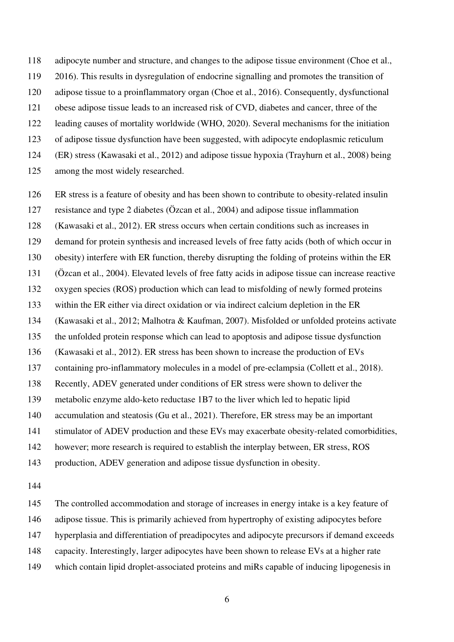118 adipocyte number and structure, and changes to the adipose tissue environment (Choe et al., 119 2016). This results in dysregulation of endocrine signalling and promotes the transition of 120 adipose tissue to a proinflammatory organ (Choe et al., 2016). Consequently, dysfunctional

121 obese adipose tissue leads to an increased risk of CVD, diabetes and cancer, three of the 122 leading causes of mortality worldwide (WHO, 2020). Several mechanisms for the initiation

123 of adipose tissue dysfunction have been suggested, with adipocyte endoplasmic reticulum

124 (ER) stress (Kawasaki et al., 2012) and adipose tissue hypoxia (Trayhurn et al., 2008) being

125 among the most widely researched.

126 ER stress is a feature of obesity and has been shown to contribute to obesity-related insulin 127 resistance and type 2 diabetes (Özcan et al., 2004) and adipose tissue inflammation 128 (Kawasaki et al., 2012). ER stress occurs when certain conditions such as increases in 129 demand for protein synthesis and increased levels of free fatty acids (both of which occur in 130 obesity) interfere with ER function, thereby disrupting the folding of proteins within the ER 131 (Özcan et al., 2004). Elevated levels of free fatty acids in adipose tissue can increase reactive 132 oxygen species (ROS) production which can lead to misfolding of newly formed proteins 133 within the ER either via direct oxidation or via indirect calcium depletion in the ER 134 (Kawasaki et al., 2012; Malhotra & Kaufman, 2007). Misfolded or unfolded proteins activate 135 the unfolded protein response which can lead to apoptosis and adipose tissue dysfunction 136 (Kawasaki et al., 2012). ER stress has been shown to increase the production of EVs 137 containing pro-inflammatory molecules in a model of pre-eclampsia (Collett et al., 2018). 138 Recently, ADEV generated under conditions of ER stress were shown to deliver the 139 metabolic enzyme aldo-keto reductase 1B7 to the liver which led to hepatic lipid 140 accumulation and steatosis (Gu et al., 2021). Therefore, ER stress may be an important 141 stimulator of ADEV production and these EVs may exacerbate obesity-related comorbidities, 142 however; more research is required to establish the interplay between, ER stress, ROS 143 production, ADEV generation and adipose tissue dysfunction in obesity.

144

145 The controlled accommodation and storage of increases in energy intake is a key feature of 146 adipose tissue. This is primarily achieved from hypertrophy of existing adipocytes before 147 hyperplasia and differentiation of preadipocytes and adipocyte precursors if demand exceeds 148 capacity. Interestingly, larger adipocytes have been shown to release EVs at a higher rate 149 which contain lipid droplet-associated proteins and miRs capable of inducing lipogenesis in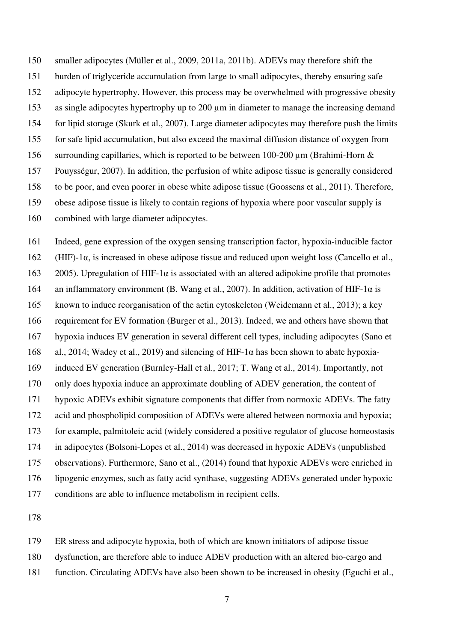150 smaller adipocytes (Müller et al., 2009, 2011a, 2011b). ADEVs may therefore shift the 151 burden of triglyceride accumulation from large to small adipocytes, thereby ensuring safe 152 adipocyte hypertrophy. However, this process may be overwhelmed with progressive obesity 153 as single adipocytes hypertrophy up to 200 µm in diameter to manage the increasing demand 154 for lipid storage (Skurk et al., 2007). Large diameter adipocytes may therefore push the limits 155 for safe lipid accumulation, but also exceed the maximal diffusion distance of oxygen from 156 surrounding capillaries, which is reported to be between 100-200 µm (Brahimi-Horn & 157 Pouysségur, 2007). In addition, the perfusion of white adipose tissue is generally considered 158 to be poor, and even poorer in obese white adipose tissue (Goossens et al., 2011). Therefore, 159 obese adipose tissue is likely to contain regions of hypoxia where poor vascular supply is 160 combined with large diameter adipocytes.

161 Indeed, gene expression of the oxygen sensing transcription factor, hypoxia-inducible factor 162 (HIF)-1α, is increased in obese adipose tissue and reduced upon weight loss (Cancello et al., 163 2005). Upregulation of HIF-1 $\alpha$  is associated with an altered adipokine profile that promotes 164 an inflammatory environment (B. Wang et al., 2007). In addition, activation of HIF-1 $\alpha$  is 165 known to induce reorganisation of the actin cytoskeleton (Weidemann et al., 2013); a key 166 requirement for EV formation (Burger et al., 2013). Indeed, we and others have shown that 167 hypoxia induces EV generation in several different cell types, including adipocytes (Sano et 168 al., 2014; Wadey et al., 2019) and silencing of HIF-1 $\alpha$  has been shown to abate hypoxia-169 induced EV generation (Burnley-Hall et al., 2017; T. Wang et al., 2014). Importantly, not 170 only does hypoxia induce an approximate doubling of ADEV generation, the content of 171 hypoxic ADEVs exhibit signature components that differ from normoxic ADEVs. The fatty 172 acid and phospholipid composition of ADEVs were altered between normoxia and hypoxia; 173 for example, palmitoleic acid (widely considered a positive regulator of glucose homeostasis 174 in adipocytes (Bolsoni-Lopes et al., 2014) was decreased in hypoxic ADEVs (unpublished 175 observations). Furthermore, Sano et al., (2014) found that hypoxic ADEVs were enriched in 176 lipogenic enzymes, such as fatty acid synthase, suggesting ADEVs generated under hypoxic 177 conditions are able to influence metabolism in recipient cells.

178

179 ER stress and adipocyte hypoxia, both of which are known initiators of adipose tissue

180 dysfunction, are therefore able to induce ADEV production with an altered bio-cargo and

- 181 function. Circulating ADEVs have also been shown to be increased in obesity (Eguchi et al.,
	- 7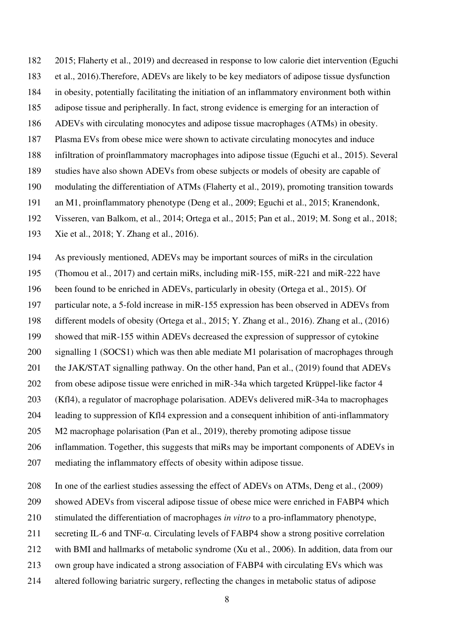182 2015; Flaherty et al., 2019) and decreased in response to low calorie diet intervention (Eguchi 183 et al., 2016).Therefore, ADEVs are likely to be key mediators of adipose tissue dysfunction 184 in obesity, potentially facilitating the initiation of an inflammatory environment both within 185 adipose tissue and peripherally. In fact, strong evidence is emerging for an interaction of 186 ADEVs with circulating monocytes and adipose tissue macrophages (ATMs) in obesity. 187 Plasma EVs from obese mice were shown to activate circulating monocytes and induce 188 infiltration of proinflammatory macrophages into adipose tissue (Eguchi et al., 2015). Several 189 studies have also shown ADEVs from obese subjects or models of obesity are capable of 190 modulating the differentiation of ATMs (Flaherty et al., 2019), promoting transition towards 191 an M1, proinflammatory phenotype (Deng et al., 2009; Eguchi et al., 2015; Kranendonk, 192 Visseren, van Balkom, et al., 2014; Ortega et al., 2015; Pan et al., 2019; M. Song et al., 2018;

193 Xie et al., 2018; Y. Zhang et al., 2016).

194 As previously mentioned, ADEVs may be important sources of miRs in the circulation

195 (Thomou et al., 2017) and certain miRs, including miR-155, miR-221 and miR-222 have

196 been found to be enriched in ADEVs, particularly in obesity (Ortega et al., 2015). Of

197 particular note, a 5-fold increase in miR-155 expression has been observed in ADEVs from

198 different models of obesity (Ortega et al., 2015; Y. Zhang et al., 2016). Zhang et al., (2016)

199 showed that miR-155 within ADEVs decreased the expression of suppressor of cytokine

200 signalling 1 (SOCS1) which was then able mediate M1 polarisation of macrophages through

201 the JAK/STAT signalling pathway. On the other hand, Pan et al., (2019) found that ADEVs

202 from obese adipose tissue were enriched in miR-34a which targeted Krüppel-like factor 4

203 (Kfl4), a regulator of macrophage polarisation. ADEVs delivered miR-34a to macrophages

204 leading to suppression of Kfl4 expression and a consequent inhibition of anti-inflammatory

205 M2 macrophage polarisation (Pan et al., 2019), thereby promoting adipose tissue

206 inflammation. Together, this suggests that miRs may be important components of ADEVs in

207 mediating the inflammatory effects of obesity within adipose tissue.

208 In one of the earliest studies assessing the effect of ADEVs on ATMs, Deng et al., (2009)

209 showed ADEVs from visceral adipose tissue of obese mice were enriched in FABP4 which

210 stimulated the differentiation of macrophages *in vitro* to a pro-inflammatory phenotype,

211 secreting IL-6 and TNF-α. Circulating levels of FABP4 show a strong positive correlation

212 with BMI and hallmarks of metabolic syndrome (Xu et al., 2006). In addition, data from our

213 own group have indicated a strong association of FABP4 with circulating EVs which was

214 altered following bariatric surgery, reflecting the changes in metabolic status of adipose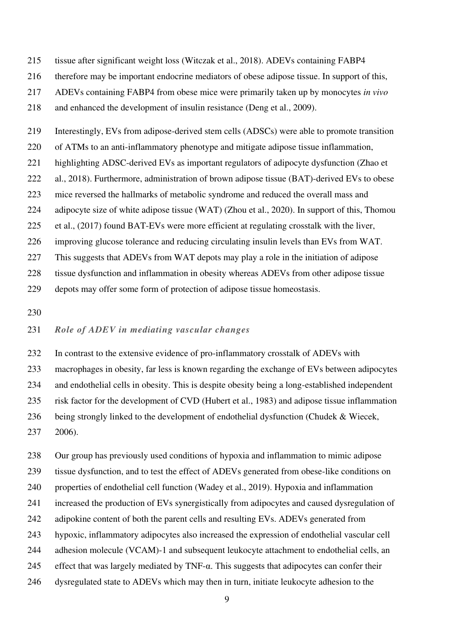- 215 tissue after significant weight loss (Witczak et al., 2018). ADEVs containing FABP4
- 216 therefore may be important endocrine mediators of obese adipose tissue. In support of this,
- 217 ADEVs containing FABP4 from obese mice were primarily taken up by monocytes *in vivo*
- 218 and enhanced the development of insulin resistance (Deng et al., 2009).
- 219 Interestingly, EVs from adipose-derived stem cells (ADSCs) were able to promote transition
- 220 of ATMs to an anti-inflammatory phenotype and mitigate adipose tissue inflammation,
- 221 highlighting ADSC-derived EVs as important regulators of adipocyte dysfunction (Zhao et
- 222 al., 2018). Furthermore, administration of brown adipose tissue (BAT)-derived EVs to obese
- 223 mice reversed the hallmarks of metabolic syndrome and reduced the overall mass and
- 224 adipocyte size of white adipose tissue (WAT) (Zhou et al., 2020). In support of this, Thomou
- 225 et al., (2017) found BAT-EVs were more efficient at regulating crosstalk with the liver,
- 226 improving glucose tolerance and reducing circulating insulin levels than EVs from WAT.
- 227 This suggests that ADEVs from WAT depots may play a role in the initiation of adipose
- 228 tissue dysfunction and inflammation in obesity whereas ADEVs from other adipose tissue
- 229 depots may offer some form of protection of adipose tissue homeostasis.
- 230

# 231 *Role of ADEV in mediating vascular changes*

232 In contrast to the extensive evidence of pro-inflammatory crosstalk of ADEVs with 233 macrophages in obesity, far less is known regarding the exchange of EVs between adipocytes 234 and endothelial cells in obesity. This is despite obesity being a long-established independent 235 risk factor for the development of CVD (Hubert et al., 1983) and adipose tissue inflammation 236 being strongly linked to the development of endothelial dysfunction (Chudek & Wiecek, 237 2006).

238 Our group has previously used conditions of hypoxia and inflammation to mimic adipose 239 tissue dysfunction, and to test the effect of ADEVs generated from obese-like conditions on 240 properties of endothelial cell function (Wadey et al., 2019). Hypoxia and inflammation 241 increased the production of EVs synergistically from adipocytes and caused dysregulation of 242 adipokine content of both the parent cells and resulting EVs. ADEVs generated from 243 hypoxic, inflammatory adipocytes also increased the expression of endothelial vascular cell 244 adhesion molecule (VCAM)-1 and subsequent leukocyte attachment to endothelial cells, an 245 effect that was largely mediated by TNF- $\alpha$ . This suggests that adipocytes can confer their 246 dysregulated state to ADEVs which may then in turn, initiate leukocyte adhesion to the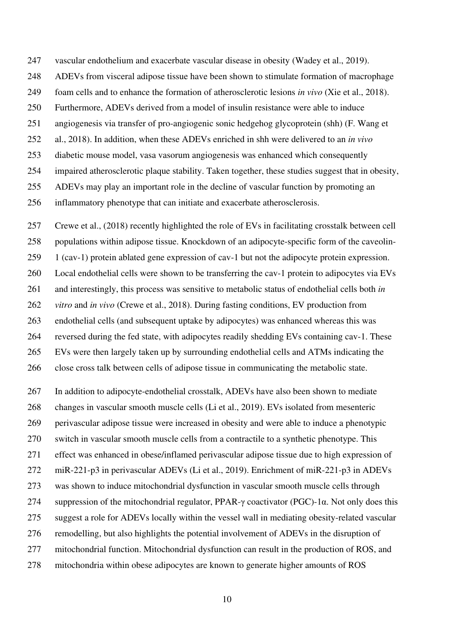- 247 vascular endothelium and exacerbate vascular disease in obesity (Wadey et al., 2019).
- 248 ADEVs from visceral adipose tissue have been shown to stimulate formation of macrophage
- 249 foam cells and to enhance the formation of atherosclerotic lesions *in vivo* (Xie et al., 2018).
- 250 Furthermore, ADEVs derived from a model of insulin resistance were able to induce
- 251 angiogenesis via transfer of pro-angiogenic sonic hedgehog glycoprotein (shh) (F. Wang et
- 252 al., 2018). In addition, when these ADEVs enriched in shh were delivered to an *in vivo*
- 253 diabetic mouse model, vasa vasorum angiogenesis was enhanced which consequently
- 254 impaired atherosclerotic plaque stability. Taken together, these studies suggest that in obesity,
- 255 ADEVs may play an important role in the decline of vascular function by promoting an
- 256 inflammatory phenotype that can initiate and exacerbate atherosclerosis.
- 257 Crewe et al., (2018) recently highlighted the role of EVs in facilitating crosstalk between cell 258 populations within adipose tissue. Knockdown of an adipocyte-specific form of the caveolin-259 1 (cav-1) protein ablated gene expression of cav-1 but not the adipocyte protein expression. 260 Local endothelial cells were shown to be transferring the cav-1 protein to adipocytes via EVs 261 and interestingly, this process was sensitive to metabolic status of endothelial cells both *in*  262 *vitro* and *in vivo* (Crewe et al., 2018). During fasting conditions, EV production from 263 endothelial cells (and subsequent uptake by adipocytes) was enhanced whereas this was 264 reversed during the fed state, with adipocytes readily shedding EVs containing cav-1. These 265 EVs were then largely taken up by surrounding endothelial cells and ATMs indicating the 266 close cross talk between cells of adipose tissue in communicating the metabolic state.
- 267 In addition to adipocyte-endothelial crosstalk, ADEVs have also been shown to mediate 268 changes in vascular smooth muscle cells (Li et al., 2019). EVs isolated from mesenteric
- 269 perivascular adipose tissue were increased in obesity and were able to induce a phenotypic
- 270 switch in vascular smooth muscle cells from a contractile to a synthetic phenotype. This
- 271 effect was enhanced in obese/inflamed perivascular adipose tissue due to high expression of
- 272 miR-221-p3 in perivascular ADEVs (Li et al., 2019). Enrichment of miR-221-p3 in ADEVs
- 273 was shown to induce mitochondrial dysfunction in vascular smooth muscle cells through
- 274 suppression of the mitochondrial regulator, PPAR-γ coactivator (PGC)-1α. Not only does this
- 275 suggest a role for ADEVs locally within the vessel wall in mediating obesity-related vascular
- 276 remodelling, but also highlights the potential involvement of ADEVs in the disruption of
- 277 mitochondrial function. Mitochondrial dysfunction can result in the production of ROS, and
- 278 mitochondria within obese adipocytes are known to generate higher amounts of ROS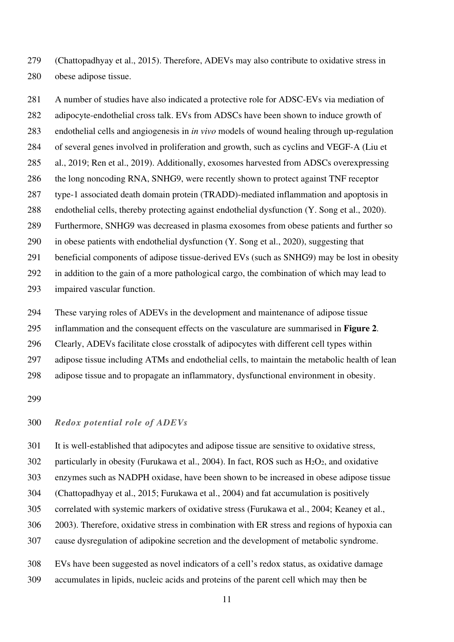279 (Chattopadhyay et al., 2015). Therefore, ADEVs may also contribute to oxidative stress in 280 obese adipose tissue.

281 A number of studies have also indicated a protective role for ADSC-EVs via mediation of 282 adipocyte-endothelial cross talk. EVs from ADSCs have been shown to induce growth of 283 endothelial cells and angiogenesis in *in vivo* models of wound healing through up-regulation 284 of several genes involved in proliferation and growth, such as cyclins and VEGF-A (Liu et 285 al., 2019; Ren et al., 2019). Additionally, exosomes harvested from ADSCs overexpressing 286 the long noncoding RNA, SNHG9, were recently shown to protect against TNF receptor 287 type-1 associated death domain protein (TRADD)-mediated inflammation and apoptosis in 288 endothelial cells, thereby protecting against endothelial dysfunction (Y. Song et al., 2020). 289 Furthermore, SNHG9 was decreased in plasma exosomes from obese patients and further so 290 in obese patients with endothelial dysfunction (Y. Song et al., 2020), suggesting that 291 beneficial components of adipose tissue-derived EVs (such as SNHG9) may be lost in obesity 292 in addition to the gain of a more pathological cargo, the combination of which may lead to 293 impaired vascular function.

294 These varying roles of ADEVs in the development and maintenance of adipose tissue 295 inflammation and the consequent effects on the vasculature are summarised in **Figure 2**. 296 Clearly, ADEVs facilitate close crosstalk of adipocytes with different cell types within 297 adipose tissue including ATMs and endothelial cells, to maintain the metabolic health of lean 298 adipose tissue and to propagate an inflammatory, dysfunctional environment in obesity.

299

### 300 *Redox potential role of ADEVs*

301 It is well-established that adipocytes and adipose tissue are sensitive to oxidative stress, 302 particularly in obesity (Furukawa et al., 2004). In fact, ROS such as  $H_2O_2$ , and oxidative 303 enzymes such as NADPH oxidase, have been shown to be increased in obese adipose tissue 304 (Chattopadhyay et al., 2015; Furukawa et al., 2004) and fat accumulation is positively 305 correlated with systemic markers of oxidative stress (Furukawa et al., 2004; Keaney et al., 306 2003). Therefore, oxidative stress in combination with ER stress and regions of hypoxia can 307 cause dysregulation of adipokine secretion and the development of metabolic syndrome. 308 EVs have been suggested as novel indicators of a cell's redox status, as oxidative damage

309 accumulates in lipids, nucleic acids and proteins of the parent cell which may then be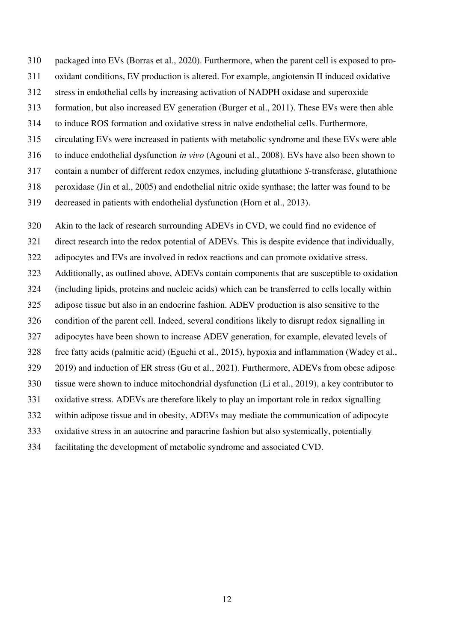- 310 packaged into EVs (Borras et al., 2020). Furthermore, when the parent cell is exposed to pro-
- 311 oxidant conditions, EV production is altered. For example, angiotensin II induced oxidative
- 312 stress in endothelial cells by increasing activation of NADPH oxidase and superoxide
- 313 formation, but also increased EV generation (Burger et al., 2011). These EVs were then able
- 314 to induce ROS formation and oxidative stress in naïve endothelial cells. Furthermore,
- 315 circulating EVs were increased in patients with metabolic syndrome and these EVs were able
- 316 to induce endothelial dysfunction *in vivo* (Agouni et al., 2008). EVs have also been shown to
- 317 contain a number of different redox enzymes, including glutathione *S*-transferase, glutathione
- 318 peroxidase (Jin et al., 2005) and endothelial nitric oxide synthase; the latter was found to be
- 319 decreased in patients with endothelial dysfunction (Horn et al., 2013).
- 320 Akin to the lack of research surrounding ADEVs in CVD, we could find no evidence of
- 321 direct research into the redox potential of ADEVs. This is despite evidence that individually,
- 322 adipocytes and EVs are involved in redox reactions and can promote oxidative stress.
- 323 Additionally, as outlined above, ADEVs contain components that are susceptible to oxidation
- 324 (including lipids, proteins and nucleic acids) which can be transferred to cells locally within
- 325 adipose tissue but also in an endocrine fashion. ADEV production is also sensitive to the
- 326 condition of the parent cell. Indeed, several conditions likely to disrupt redox signalling in
- 327 adipocytes have been shown to increase ADEV generation, for example, elevated levels of
- 328 free fatty acids (palmitic acid) (Eguchi et al., 2015), hypoxia and inflammation (Wadey et al.,
- 329 2019) and induction of ER stress (Gu et al., 2021). Furthermore, ADEVs from obese adipose
- 330 tissue were shown to induce mitochondrial dysfunction (Li et al., 2019), a key contributor to
- 331 oxidative stress. ADEVs are therefore likely to play an important role in redox signalling
- 332 within adipose tissue and in obesity, ADEVs may mediate the communication of adipocyte
- 333 oxidative stress in an autocrine and paracrine fashion but also systemically, potentially
- 334 facilitating the development of metabolic syndrome and associated CVD.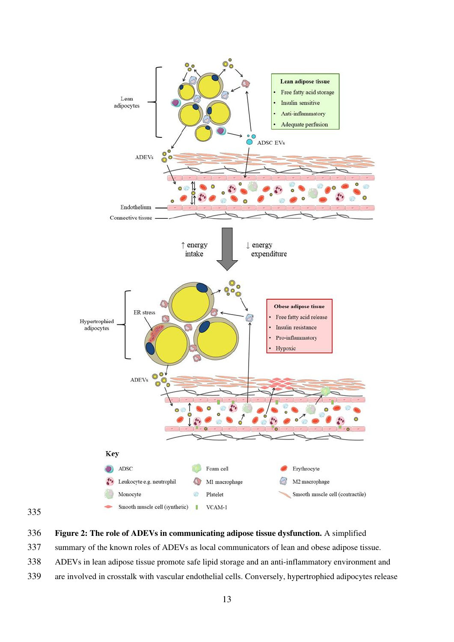



# **Figure 2: The role of ADEVs in communicating adipose tissue dysfunction.** A simplified

summary of the known roles of ADEVs as local communicators of lean and obese adipose tissue.

- ADEVs in lean adipose tissue promote safe lipid storage and an anti-inflammatory environment and
- are involved in crosstalk with vascular endothelial cells. Conversely, hypertrophied adipocytes release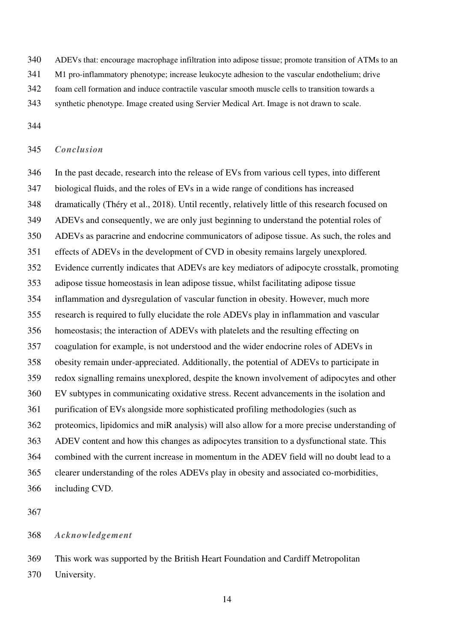340 ADEVs that: encourage macrophage infiltration into adipose tissue; promote transition of ATMs to an

341 M1 pro-inflammatory phenotype; increase leukocyte adhesion to the vascular endothelium; drive

342 foam cell formation and induce contractile vascular smooth muscle cells to transition towards a

343 synthetic phenotype. Image created using Servier Medical Art. Image is not drawn to scale.

344

#### 345 *Conclusion*

346 In the past decade, research into the release of EVs from various cell types, into different 347 biological fluids, and the roles of EVs in a wide range of conditions has increased 348 dramatically (Théry et al., 2018). Until recently, relatively little of this research focused on 349 ADEVs and consequently, we are only just beginning to understand the potential roles of 350 ADEVs as paracrine and endocrine communicators of adipose tissue. As such, the roles and 351 effects of ADEVs in the development of CVD in obesity remains largely unexplored. 352 Evidence currently indicates that ADEVs are key mediators of adipocyte crosstalk, promoting 353 adipose tissue homeostasis in lean adipose tissue, whilst facilitating adipose tissue 354 inflammation and dysregulation of vascular function in obesity. However, much more 355 research is required to fully elucidate the role ADEVs play in inflammation and vascular 356 homeostasis; the interaction of ADEVs with platelets and the resulting effecting on 357 coagulation for example, is not understood and the wider endocrine roles of ADEVs in 358 obesity remain under-appreciated. Additionally, the potential of ADEVs to participate in 359 redox signalling remains unexplored, despite the known involvement of adipocytes and other 360 EV subtypes in communicating oxidative stress. Recent advancements in the isolation and 361 purification of EVs alongside more sophisticated profiling methodologies (such as 362 proteomics, lipidomics and miR analysis) will also allow for a more precise understanding of 363 ADEV content and how this changes as adipocytes transition to a dysfunctional state. This 364 combined with the current increase in momentum in the ADEV field will no doubt lead to a 365 clearer understanding of the roles ADEVs play in obesity and associated co-morbidities, 366 including CVD.

367

#### 368 *Acknowledgement*

369 This work was supported by the British Heart Foundation and Cardiff Metropolitan 370 University.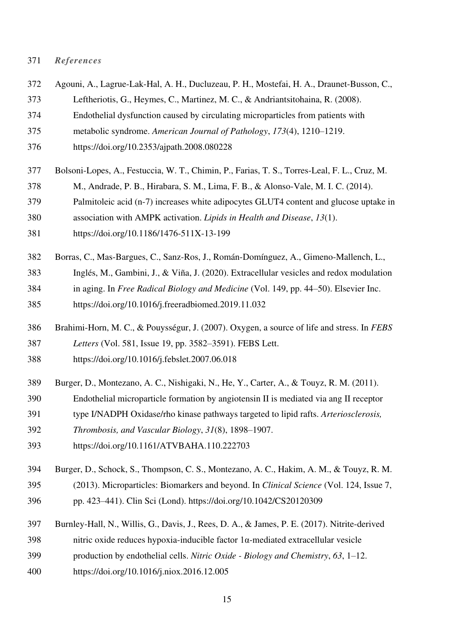# 371 *References*

| 372 | Agouni, A., Lagrue-Lak-Hal, A. H., Ducluzeau, P. H., Mostefai, H. A., Draunet-Busson, C.,    |
|-----|----------------------------------------------------------------------------------------------|
| 373 | Leftheriotis, G., Heymes, C., Martinez, M. C., & Andriantsitohaina, R. (2008).               |
| 374 | Endothelial dysfunction caused by circulating microparticles from patients with              |
| 375 | metabolic syndrome. American Journal of Pathology, 173(4), 1210–1219.                        |
| 376 | https://doi.org/10.2353/ajpath.2008.080228                                                   |
| 377 | Bolsoni-Lopes, A., Festuccia, W. T., Chimin, P., Farias, T. S., Torres-Leal, F. L., Cruz, M. |
| 378 | M., Andrade, P. B., Hirabara, S. M., Lima, F. B., & Alonso-Vale, M. I. C. (2014).            |
| 379 | Palmitoleic acid (n-7) increases white adipocytes GLUT4 content and glucose uptake in        |
| 380 | association with AMPK activation. Lipids in Health and Disease, 13(1).                       |
| 381 | https://doi.org/10.1186/1476-511X-13-199                                                     |
| 382 | Borras, C., Mas-Bargues, C., Sanz-Ros, J., Román-Domínguez, A., Gimeno-Mallench, L.,         |
| 383 | Inglés, M., Gambini, J., & Viña, J. (2020). Extracellular vesicles and redox modulation      |
| 384 | in aging. In Free Radical Biology and Medicine (Vol. 149, pp. 44–50). Elsevier Inc.          |
| 385 | https://doi.org/10.1016/j.freeradbiomed.2019.11.032                                          |
| 386 | Brahimi-Horn, M. C., & Pouysségur, J. (2007). Oxygen, a source of life and stress. In FEBS   |
| 387 | Letters (Vol. 581, Issue 19, pp. 3582–3591). FEBS Lett.                                      |
| 388 | https://doi.org/10.1016/j.febslet.2007.06.018                                                |
| 389 | Burger, D., Montezano, A. C., Nishigaki, N., He, Y., Carter, A., & Touyz, R. M. (2011).      |
| 390 | Endothelial microparticle formation by angiotensin II is mediated via ang II receptor        |
| 391 | type I/NADPH Oxidase/rho kinase pathways targeted to lipid rafts. Arteriosclerosis,          |
| 392 | Thrombosis, and Vascular Biology, 31(8), 1898–1907.                                          |
| 393 | https://doi.org/10.1161/ATVBAHA.110.222703                                                   |
| 394 | Burger, D., Schock, S., Thompson, C. S., Montezano, A. C., Hakim, A. M., & Touyz, R. M.      |
| 395 | (2013). Microparticles: Biomarkers and beyond. In Clinical Science (Vol. 124, Issue 7,       |
| 396 | pp. 423–441). Clin Sci (Lond). https://doi.org/10.1042/CS20120309                            |
| 397 | Burnley-Hall, N., Willis, G., Davis, J., Rees, D. A., & James, P. E. (2017). Nitrite-derived |
| 398 | nitric oxide reduces hypoxia-inducible factor $1\alpha$ -mediated extracellular vesicle      |
| 399 | production by endothelial cells. Nitric Oxide - Biology and Chemistry, $63$ , $1-12$ .       |
| 400 | https://doi.org/10.1016/j.niox.2016.12.005                                                   |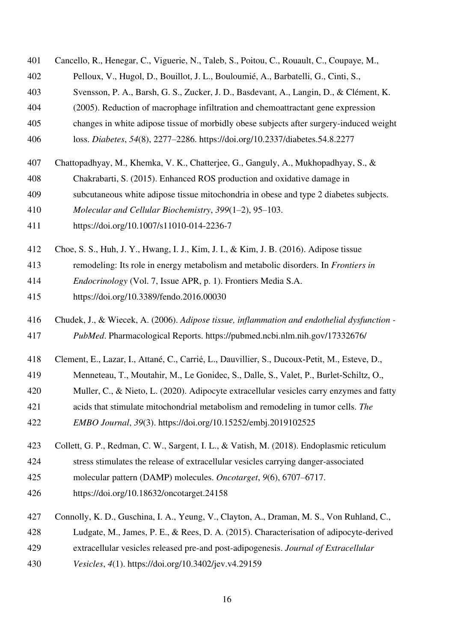| 401 | Cancello, R., Henegar, C., Viguerie, N., Taleb, S., Poitou, C., Rouault, C., Coupaye, M.,     |
|-----|-----------------------------------------------------------------------------------------------|
| 402 | Pelloux, V., Hugol, D., Bouillot, J. L., Bouloumié, A., Barbatelli, G., Cinti, S.,            |
| 403 | Svensson, P. A., Barsh, G. S., Zucker, J. D., Basdevant, A., Langin, D., & Clément, K.        |
| 404 | (2005). Reduction of macrophage infiltration and chemoattractant gene expression              |
| 405 | changes in white adipose tissue of morbidly obese subjects after surgery-induced weight       |
| 406 | loss. Diabetes, 54(8), 2277-2286. https://doi.org/10.2337/diabetes.54.8.2277                  |
| 407 | Chattopadhyay, M., Khemka, V. K., Chatterjee, G., Ganguly, A., Mukhopadhyay, S., &            |
| 408 | Chakrabarti, S. (2015). Enhanced ROS production and oxidative damage in                       |
| 409 | subcutaneous white adipose tissue mitochondria in obese and type 2 diabetes subjects.         |
| 410 | Molecular and Cellular Biochemistry, 399(1-2), 95-103.                                        |
| 411 | https://doi.org/10.1007/s11010-014-2236-7                                                     |
|     |                                                                                               |
| 412 | Choe, S. S., Huh, J. Y., Hwang, I. J., Kim, J. I., & Kim, J. B. (2016). Adipose tissue        |
| 413 | remodeling: Its role in energy metabolism and metabolic disorders. In Frontiers in            |
| 414 | Endocrinology (Vol. 7, Issue APR, p. 1). Frontiers Media S.A.                                 |
| 415 | https://doi.org/10.3389/fendo.2016.00030                                                      |
| 416 | Chudek, J., & Wiecek, A. (2006). Adipose tissue, inflammation and endothelial dysfunction -   |
| 417 | PubMed. Pharmacological Reports. https://pubmed.ncbi.nlm.nih.gov/17332676/                    |
| 418 | Clement, E., Lazar, I., Attané, C., Carrié, L., Dauvillier, S., Ducoux-Petit, M., Esteve, D., |
| 419 | Menneteau, T., Moutahir, M., Le Gonidec, S., Dalle, S., Valet, P., Burlet-Schiltz, O.,        |
| 420 | Muller, C., & Nieto, L. (2020). Adipocyte extracellular vesicles carry enzymes and fatty      |
| 421 | acids that stimulate mitochondrial metabolism and remodeling in tumor cells. The              |
| 422 | EMBO Journal, 39(3). https://doi.org/10.15252/embj.2019102525                                 |
| 423 | Collett, G. P., Redman, C. W., Sargent, I. L., & Vatish, M. (2018). Endoplasmic reticulum     |
| 424 | stress stimulates the release of extracellular vesicles carrying danger-associated            |
| 425 | molecular pattern (DAMP) molecules. Oncotarget, 9(6), 6707–6717.                              |
| 426 | https://doi.org/10.18632/oncotarget.24158                                                     |
| 427 | Connolly, K. D., Guschina, I. A., Yeung, V., Clayton, A., Draman, M. S., Von Ruhland, C.,     |
| 428 | Ludgate, M., James, P. E., & Rees, D. A. (2015). Characterisation of adipocyte-derived        |
| 429 |                                                                                               |
|     | extracellular vesicles released pre-and post-adipogenesis. Journal of Extracellular           |
| 430 | Vesicles, 4(1). https://doi.org/10.3402/jev.v4.29159                                          |
|     |                                                                                               |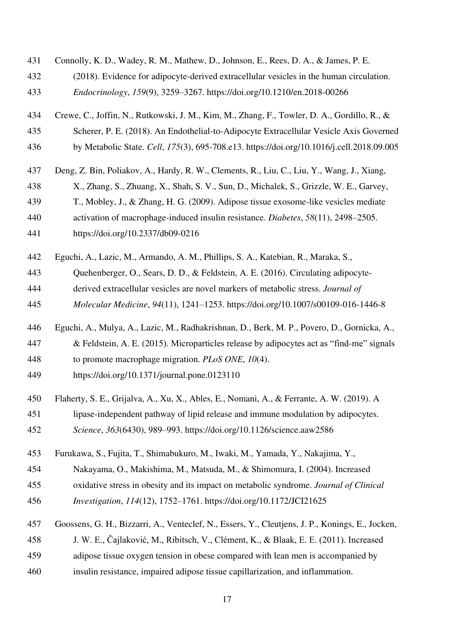431 Connolly, K. D., Wadey, R. M., Mathew, D., Johnson, E., Rees, D. A., & James, P. E.

- 432 (2018). Evidence for adipocyte-derived extracellular vesicles in the human circulation.
- 433 *Endocrinology*, *159*(9), 3259–3267. https://doi.org/10.1210/en.2018-00266
- 434 Crewe, C., Joffin, N., Rutkowski, J. M., Kim, M., Zhang, F., Towler, D. A., Gordillo, R., &
- 435 Scherer, P. E. (2018). An Endothelial-to-Adipocyte Extracellular Vesicle Axis Governed
- 436 by Metabolic State. *Cell*, *175*(3), 695-708.e13. https://doi.org/10.1016/j.cell.2018.09.005
- 437 Deng, Z. Bin, Poliakov, A., Hardy, R. W., Clements, R., Liu, C., Liu, Y., Wang, J., Xiang,
- 438 X., Zhang, S., Zhuang, X., Shah, S. V., Sun, D., Michalek, S., Grizzle, W. E., Garvey,
- 439 T., Mobley, J., & Zhang, H. G. (2009). Adipose tissue exosome-like vesicles mediate
- 440 activation of macrophage-induced insulin resistance. *Diabetes*, *58*(11), 2498–2505.
- 441 https://doi.org/10.2337/db09-0216
- 442 Eguchi, A., Lazic, M., Armando, A. M., Phillips, S. A., Katebian, R., Maraka, S.,
- 443 Quehenberger, O., Sears, D. D., & Feldstein, A. E. (2016). Circulating adipocyte-444 derived extracellular vesicles are novel markers of metabolic stress. *Journal of*  445 *Molecular Medicine*, *94*(11), 1241–1253. https://doi.org/10.1007/s00109-016-1446-8
- 446 Eguchi, A., Mulya, A., Lazic, M., Radhakrishnan, D., Berk, M. P., Povero, D., Gornicka, A.,
- 447 & Feldstein, A. E. (2015). Microparticles release by adipocytes act as "find-me" signals
- 448 to promote macrophage migration. *PLoS ONE*, *10*(4).
- 449 https://doi.org/10.1371/journal.pone.0123110
- 450 Flaherty, S. E., Grijalva, A., Xu, X., Ables, E., Nomani, A., & Ferrante, A. W. (2019). A
- 451 lipase-independent pathway of lipid release and immune modulation by adipocytes. 452 *Science*, *363*(6430), 989–993. https://doi.org/10.1126/science.aaw2586
- 453 Furukawa, S., Fujita, T., Shimabukuro, M., Iwaki, M., Yamada, Y., Nakajima, Y.,
- 454 Nakayama, O., Makishima, M., Matsuda, M., & Shimomura, I. (2004). Increased
- 455 oxidative stress in obesity and its impact on metabolic syndrome. *Journal of Clinical*
- 456 *Investigation*, *114*(12), 1752–1761. https://doi.org/10.1172/JCI21625
- 457 Goossens, G. H., Bizzarri, A., Venteclef, N., Essers, Y., Cleutjens, J. P., Konings, E., Jocken,
- 458 J. W. E., Čajlaković, M., Ribitsch, V., Clément, K., & Blaak, E. E. (2011). Increased
- 459 adipose tissue oxygen tension in obese compared with lean men is accompanied by
- 460 insulin resistance, impaired adipose tissue capillarization, and inflammation.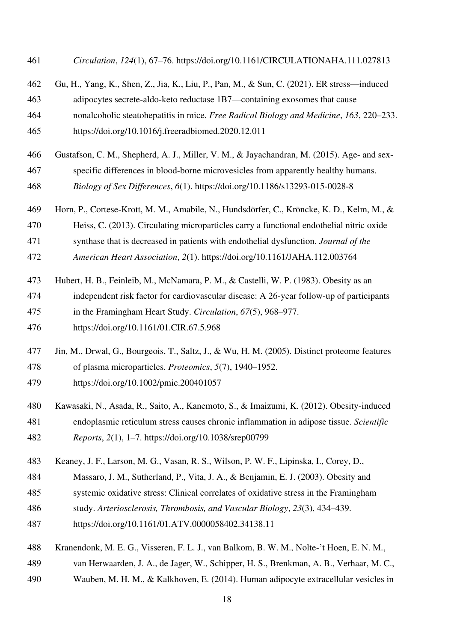- 461 *Circulation*, *124*(1), 67–76. https://doi.org/10.1161/CIRCULATIONAHA.111.027813
- 462 Gu, H., Yang, K., Shen, Z., Jia, K., Liu, P., Pan, M., & Sun, C. (2021). ER stress—induced 463 adipocytes secrete-aldo-keto reductase 1B7—containing exosomes that cause
- 464 nonalcoholic steatohepatitis in mice. *Free Radical Biology and Medicine*, *163*, 220–233.
- 465 https://doi.org/10.1016/j.freeradbiomed.2020.12.011
- 466 Gustafson, C. M., Shepherd, A. J., Miller, V. M., & Jayachandran, M. (2015). Age- and sex-
- 467 specific differences in blood-borne microvesicles from apparently healthy humans.
- 468 *Biology of Sex Differences*, *6*(1). https://doi.org/10.1186/s13293-015-0028-8
- 469 Horn, P., Cortese-Krott, M. M., Amabile, N., Hundsdörfer, C., Kröncke, K. D., Kelm, M., &
- 470 Heiss, C. (2013). Circulating microparticles carry a functional endothelial nitric oxide
- 471 synthase that is decreased in patients with endothelial dysfunction. *Journal of the*
- 472 *American Heart Association*, *2*(1). https://doi.org/10.1161/JAHA.112.003764
- 473 Hubert, H. B., Feinleib, M., McNamara, P. M., & Castelli, W. P. (1983). Obesity as an
- 474 independent risk factor for cardiovascular disease: A 26-year follow-up of participants 475 in the Framingham Heart Study. *Circulation*, *67*(5), 968–977.
- 476 https://doi.org/10.1161/01.CIR.67.5.968
- 477 Jin, M., Drwal, G., Bourgeois, T., Saltz, J., & Wu, H. M. (2005). Distinct proteome features 478 of plasma microparticles. *Proteomics*, *5*(7), 1940–1952.
- 479 https://doi.org/10.1002/pmic.200401057
- 480 Kawasaki, N., Asada, R., Saito, A., Kanemoto, S., & Imaizumi, K. (2012). Obesity-induced 481 endoplasmic reticulum stress causes chronic inflammation in adipose tissue. *Scientific*  482 *Reports*, *2*(1), 1–7. https://doi.org/10.1038/srep00799
- 483 Keaney, J. F., Larson, M. G., Vasan, R. S., Wilson, P. W. F., Lipinska, I., Corey, D.,
- 484 Massaro, J. M., Sutherland, P., Vita, J. A., & Benjamin, E. J. (2003). Obesity and
- 485 systemic oxidative stress: Clinical correlates of oxidative stress in the Framingham
- 486 study. *Arteriosclerosis, Thrombosis, and Vascular Biology*, *23*(3), 434–439.
- 487 https://doi.org/10.1161/01.ATV.0000058402.34138.11
- 488 Kranendonk, M. E. G., Visseren, F. L. J., van Balkom, B. W. M., Nolte-'t Hoen, E. N. M.,
- 489 van Herwaarden, J. A., de Jager, W., Schipper, H. S., Brenkman, A. B., Verhaar, M. C.,
- 490 Wauben, M. H. M., & Kalkhoven, E. (2014). Human adipocyte extracellular vesicles in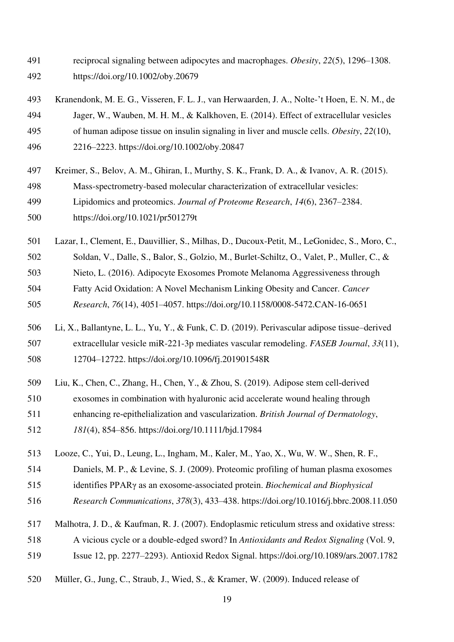- 491 reciprocal signaling between adipocytes and macrophages. *Obesity*, *22*(5), 1296–1308. 492 https://doi.org/10.1002/oby.20679
- 493 Kranendonk, M. E. G., Visseren, F. L. J., van Herwaarden, J. A., Nolte-'t Hoen, E. N. M., de 494 Jager, W., Wauben, M. H. M., & Kalkhoven, E. (2014). Effect of extracellular vesicles 495 of human adipose tissue on insulin signaling in liver and muscle cells. *Obesity*, *22*(10),
- 496 2216–2223. https://doi.org/10.1002/oby.20847
- 497 Kreimer, S., Belov, A. M., Ghiran, I., Murthy, S. K., Frank, D. A., & Ivanov, A. R. (2015). 498 Mass-spectrometry-based molecular characterization of extracellular vesicles: 499 Lipidomics and proteomics. *Journal of Proteome Research*, *14*(6), 2367–2384.
- 500 https://doi.org/10.1021/pr501279t
- 501 Lazar, I., Clement, E., Dauvillier, S., Milhas, D., Ducoux-Petit, M., LeGonidec, S., Moro, C.,
- 502 Soldan, V., Dalle, S., Balor, S., Golzio, M., Burlet-Schiltz, O., Valet, P., Muller, C., &
- 503 Nieto, L. (2016). Adipocyte Exosomes Promote Melanoma Aggressiveness through
- 504 Fatty Acid Oxidation: A Novel Mechanism Linking Obesity and Cancer. *Cancer*
- 505 *Research*, *76*(14), 4051–4057. https://doi.org/10.1158/0008-5472.CAN-16-0651
- 506 Li, X., Ballantyne, L. L., Yu, Y., & Funk, C. D. (2019). Perivascular adipose tissue–derived 507 extracellular vesicle miR-221-3p mediates vascular remodeling. *FASEB Journal*, *33*(11), 508 12704–12722. https://doi.org/10.1096/fj.201901548R
- 509 Liu, K., Chen, C., Zhang, H., Chen, Y., & Zhou, S. (2019). Adipose stem cell‐derived
- 510 exosomes in combination with hyaluronic acid accelerate wound healing through
- 511 enhancing re‐epithelialization and vascularization. *British Journal of Dermatology*,
- 512 *181*(4), 854–856. https://doi.org/10.1111/bjd.17984
- 513 Looze, C., Yui, D., Leung, L., Ingham, M., Kaler, M., Yao, X., Wu, W. W., Shen, R. F.,
- 514 Daniels, M. P., & Levine, S. J. (2009). Proteomic profiling of human plasma exosomes
- 515 identifies PPARγ as an exosome-associated protein. *Biochemical and Biophysical*
- 516 *Research Communications*, *378*(3), 433–438. https://doi.org/10.1016/j.bbrc.2008.11.050
- 517 Malhotra, J. D., & Kaufman, R. J. (2007). Endoplasmic reticulum stress and oxidative stress:
- 518 A vicious cycle or a double-edged sword? In *Antioxidants and Redox Signaling* (Vol. 9,
- 519 Issue 12, pp. 2277–2293). Antioxid Redox Signal. https://doi.org/10.1089/ars.2007.1782
- 520 Müller, G., Jung, C., Straub, J., Wied, S., & Kramer, W. (2009). Induced release of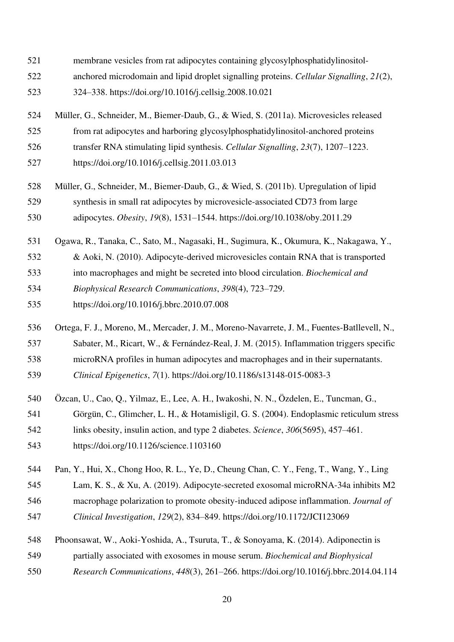- 521 membrane vesicles from rat adipocytes containing glycosylphosphatidylinositol-
- 522 anchored microdomain and lipid droplet signalling proteins. *Cellular Signalling*, *21*(2),
- 523 324–338. https://doi.org/10.1016/j.cellsig.2008.10.021
- 524 Müller, G., Schneider, M., Biemer-Daub, G., & Wied, S. (2011a). Microvesicles released
- 525 from rat adipocytes and harboring glycosylphosphatidylinositol-anchored proteins
- 526 transfer RNA stimulating lipid synthesis. *Cellular Signalling*, *23*(7), 1207–1223.
- 527 https://doi.org/10.1016/j.cellsig.2011.03.013
- 528 Müller, G., Schneider, M., Biemer-Daub, G., & Wied, S. (2011b). Upregulation of lipid 529 synthesis in small rat adipocytes by microvesicle-associated CD73 from large 530 adipocytes. *Obesity*, *19*(8), 1531–1544. https://doi.org/10.1038/oby.2011.29
- 531 Ogawa, R., Tanaka, C., Sato, M., Nagasaki, H., Sugimura, K., Okumura, K., Nakagawa, Y.,
- 532 & Aoki, N. (2010). Adipocyte-derived microvesicles contain RNA that is transported
- 533 into macrophages and might be secreted into blood circulation. *Biochemical and*
- 534 *Biophysical Research Communications*, *398*(4), 723–729.
- 535 https://doi.org/10.1016/j.bbrc.2010.07.008
- 536 Ortega, F. J., Moreno, M., Mercader, J. M., Moreno-Navarrete, J. M., Fuentes-Batllevell, N.,
- 537 Sabater, M., Ricart, W., & Fernández-Real, J. M. (2015). Inflammation triggers specific
- 538 microRNA profiles in human adipocytes and macrophages and in their supernatants.
- 539 *Clinical Epigenetics*, *7*(1). https://doi.org/10.1186/s13148-015-0083-3
- 540 Özcan, U., Cao, Q., Yilmaz, E., Lee, A. H., Iwakoshi, N. N., Özdelen, E., Tuncman, G.,
- 541 Görgün, C., Glimcher, L. H., & Hotamisligil, G. S. (2004). Endoplasmic reticulum stress 542 links obesity, insulin action, and type 2 diabetes. *Science*, *306*(5695), 457–461.
- 543 https://doi.org/10.1126/science.1103160
- 544 Pan, Y., Hui, X., Chong Hoo, R. L., Ye, D., Cheung Chan, C. Y., Feng, T., Wang, Y., Ling 545 Lam, K. S., & Xu, A. (2019). Adipocyte-secreted exosomal microRNA-34a inhibits M2 546 macrophage polarization to promote obesity-induced adipose inflammation. *Journal of*  547 *Clinical Investigation*, *129*(2), 834–849. https://doi.org/10.1172/JCI123069
- 548 Phoonsawat, W., Aoki-Yoshida, A., Tsuruta, T., & Sonoyama, K. (2014). Adiponectin is 549 partially associated with exosomes in mouse serum. *Biochemical and Biophysical*
- 550 *Research Communications*, *448*(3), 261–266. https://doi.org/10.1016/j.bbrc.2014.04.114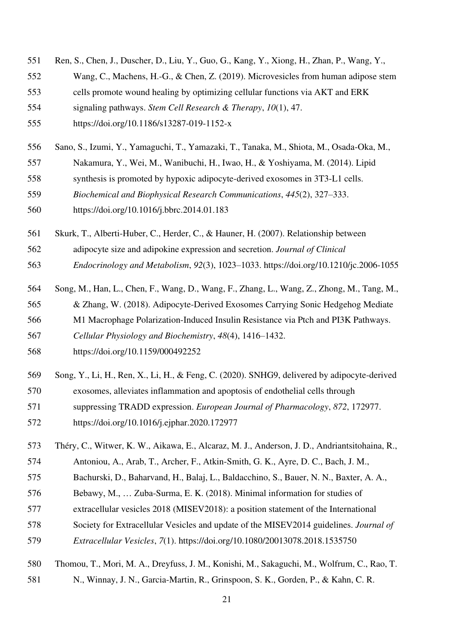| 551 | Ren, S., Chen, J., Duscher, D., Liu, Y., Guo, G., Kang, Y., Xiong, H., Zhan, P., Wang, Y.,    |
|-----|-----------------------------------------------------------------------------------------------|
| 552 | Wang, C., Machens, H.-G., & Chen, Z. (2019). Microvesicles from human adipose stem            |
| 553 | cells promote wound healing by optimizing cellular functions via AKT and ERK                  |
| 554 | signaling pathways. Stem Cell Research & Therapy, 10(1), 47.                                  |
| 555 | https://doi.org/10.1186/s13287-019-1152-x                                                     |
| 556 | Sano, S., Izumi, Y., Yamaguchi, T., Yamazaki, T., Tanaka, M., Shiota, M., Osada-Oka, M.,      |
| 557 | Nakamura, Y., Wei, M., Wanibuchi, H., Iwao, H., & Yoshiyama, M. (2014). Lipid                 |
| 558 | synthesis is promoted by hypoxic adipocyte-derived exosomes in 3T3-L1 cells.                  |
| 559 | Biochemical and Biophysical Research Communications, 445(2), 327–333.                         |
| 560 | https://doi.org/10.1016/j.bbrc.2014.01.183                                                    |
| 561 | Skurk, T., Alberti-Huber, C., Herder, C., & Hauner, H. (2007). Relationship between           |
| 562 | adipocyte size and adipokine expression and secretion. Journal of Clinical                    |
| 563 | Endocrinology and Metabolism, 92(3), 1023-1033. https://doi.org/10.1210/jc.2006-1055          |
| 564 | Song, M., Han, L., Chen, F., Wang, D., Wang, F., Zhang, L., Wang, Z., Zhong, M., Tang, M.,    |
| 565 | & Zhang, W. (2018). Adipocyte-Derived Exosomes Carrying Sonic Hedgehog Mediate                |
| 566 | M1 Macrophage Polarization-Induced Insulin Resistance via Ptch and PI3K Pathways.             |
| 567 | Cellular Physiology and Biochemistry, 48(4), 1416–1432.                                       |
| 568 | https://doi.org/10.1159/000492252                                                             |
| 569 | Song, Y., Li, H., Ren, X., Li, H., & Feng, C. (2020). SNHG9, delivered by adipocyte-derived   |
| 570 | exosomes, alleviates inflammation and apoptosis of endothelial cells through                  |
| 571 | suppressing TRADD expression. European Journal of Pharmacology, 872, 172977.                  |
| 572 | https://doi.org/10.1016/j.ejphar.2020.172977                                                  |
| 573 | Théry, C., Witwer, K. W., Aikawa, E., Alcaraz, M. J., Anderson, J. D., Andriantsitohaina, R., |
| 574 | Antoniou, A., Arab, T., Archer, F., Atkin-Smith, G. K., Ayre, D. C., Bach, J. M.,             |
| 575 | Bachurski, D., Baharvand, H., Balaj, L., Baldacchino, S., Bauer, N. N., Baxter, A. A.,        |
| 576 | Bebawy, M.,  Zuba-Surma, E. K. (2018). Minimal information for studies of                     |
| 577 | extracellular vesicles 2018 (MISEV2018): a position statement of the International            |
| 578 | Society for Extracellular Vesicles and update of the MISEV2014 guidelines. Journal of         |
| 579 | <i>Extracellular Vesicles, 7(1). https://doi.org/10.1080/20013078.2018.1535750</i>            |
| 580 | Thomou, T., Mori, M. A., Dreyfuss, J. M., Konishi, M., Sakaguchi, M., Wolfrum, C., Rao, T.    |
| 581 | N., Winnay, J. N., Garcia-Martin, R., Grinspoon, S. K., Gorden, P., & Kahn, C. R.             |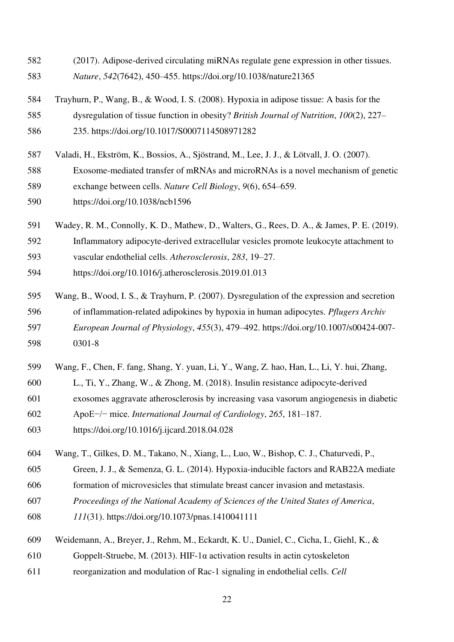| 582 | (2017). Adipose-derived circulating miRNAs regulate gene expression in other tissues.       |
|-----|---------------------------------------------------------------------------------------------|
| 583 | Nature, 542(7642), 450-455. https://doi.org/10.1038/nature21365                             |
| 584 | Trayhurn, P., Wang, B., & Wood, I. S. (2008). Hypoxia in adipose tissue: A basis for the    |
| 585 | dysregulation of tissue function in obesity? British Journal of Nutrition, 100(2), 227–     |
| 586 | 235. https://doi.org/10.1017/S0007114508971282                                              |
| 587 | Valadi, H., Ekström, K., Bossios, A., Sjöstrand, M., Lee, J. J., & Lötvall, J. O. (2007).   |
| 588 | Exosome-mediated transfer of mRNAs and microRNAs is a novel mechanism of genetic            |
| 589 | exchange between cells. Nature Cell Biology, 9(6), 654–659.                                 |
| 590 | https://doi.org/10.1038/ncb1596                                                             |
| 591 | Wadey, R. M., Connolly, K. D., Mathew, D., Walters, G., Rees, D. A., & James, P. E. (2019). |
| 592 | Inflammatory adipocyte-derived extracellular vesicles promote leukocyte attachment to       |
| 593 | vascular endothelial cells. Atherosclerosis, 283, 19-27.                                    |
| 594 | https://doi.org/10.1016/j.atherosclerosis.2019.01.013                                       |
| 595 | Wang, B., Wood, I. S., & Trayhurn, P. (2007). Dysregulation of the expression and secretion |
| 596 | of inflammation-related adipokines by hypoxia in human adipocytes. Pflugers Archiv          |
| 597 | European Journal of Physiology, 455(3), 479-492. https://doi.org/10.1007/s00424-007-        |
| 598 | $0301 - 8$                                                                                  |
| 599 | Wang, F., Chen, F. fang, Shang, Y. yuan, Li, Y., Wang, Z. hao, Han, L., Li, Y. hui, Zhang,  |
| 600 | L., Ti, Y., Zhang, W., & Zhong, M. (2018). Insulin resistance adipocyte-derived             |
| 601 | exosomes aggravate atherosclerosis by increasing vasa vasorum angiogenesis in diabetic      |
| 602 | ApoE $-/-$ mice. International Journal of Cardiology, 265, 181–187.                         |
| 603 | https://doi.org/10.1016/j.ijcard.2018.04.028                                                |
| 604 | Wang, T., Gilkes, D. M., Takano, N., Xiang, L., Luo, W., Bishop, C. J., Chaturvedi, P.,     |
| 605 | Green, J. J., & Semenza, G. L. (2014). Hypoxia-inducible factors and RAB22A mediate         |
| 606 | formation of microvesicles that stimulate breast cancer invasion and metastasis.            |
| 607 | Proceedings of the National Academy of Sciences of the United States of America,            |
| 608 | 111(31). https://doi.org/10.1073/pnas.1410041111                                            |
| 609 | Weidemann, A., Breyer, J., Rehm, M., Eckardt, K. U., Daniel, C., Cicha, I., Giehl, K., &    |
| 610 | Goppelt-Struebe, M. (2013). HIF-1 $\alpha$ activation results in actin cytoskeleton         |
| 611 | reorganization and modulation of Rac-1 signaling in endothelial cells. Cell                 |
|     | 22                                                                                          |